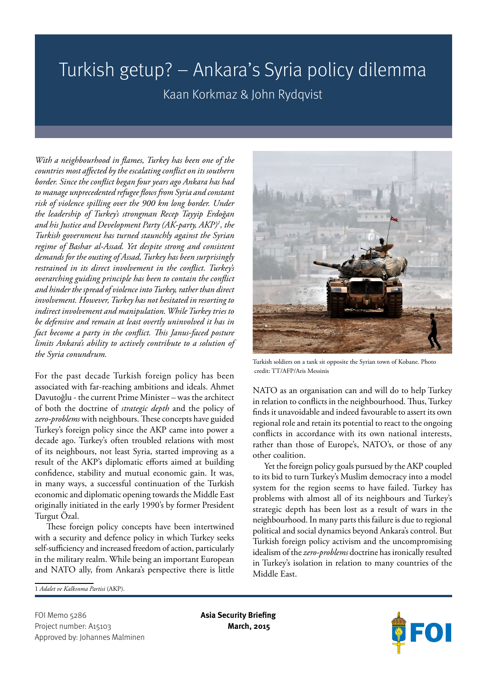## Turkish getup? – Ankara's Syria policy dilemma

Kaan Korkmaz & John Rydqvist

*With a neighbourhood in flames, Turkey has been one of the countries most affected by the escalating conflict on its southern border. Since the conflict began four years ago Ankara has had to manage unprecedented refugee flows from Syria and constant risk of violence spilling over the 900 km long border. Under the leadership of Turkey's strongman Recep Tayyip Erdoğan and his Justice and Development Party (AK-party, AKP)1 , the Turkish government has turned staunchly against the Syrian regime of Bashar al-Assad. Yet despite strong and consistent demands for the ousting of Assad, Turkey has been surprisingly restrained in its direct involvement in the conflict. Turkey's overarching guiding principle has been to contain the conflict and hinder the spread of violence into Turkey, rather than direct involvement. However, Turkey has not hesitated in resorting to indirect involvement and manipulation. While Turkey tries to be defensive and remain at least overtly uninvolved it has in fact become a party in the conflict. This Janus-faced posture limits Ankara's ability to actively contribute to a solution of the Syria conundrum.*

For the past decade Turkish foreign policy has been associated with far-reaching ambitions and ideals. Ahmet Davutoğlu - the current Prime Minister – was the architect of both the doctrine of *strategic depth* and the policy of *zero-problems* with neighbours. These concepts have guided Turkey's foreign policy since the AKP came into power a decade ago. Turkey's often troubled relations with most of its neighbours, not least Syria, started improving as a result of the AKP's diplomatic efforts aimed at building confidence, stability and mutual economic gain. It was, in many ways, a successful continuation of the Turkish economic and diplomatic opening towards the Middle East originally initiated in the early 1990's by former President Turgut Özal.

These foreign policy concepts have been intertwined with a security and defence policy in which Turkey seeks self-sufficiency and increased freedom of action, particularly in the military realm. While being an important European and NATO ally, from Ankara's perspective there is little



Turkish soldiers on a tank sit opposite the Syrian town of Kobane. Photo credit: TT/AFP/Aris Messinis

NATO as an organisation can and will do to help Turkey in relation to conflicts in the neighbourhood. Thus, Turkey finds it unavoidable and indeed favourable to assert its own regional role and retain its potential to react to the ongoing conflicts in accordance with its own national interests, rather than those of Europe's, NATO's, or those of any other coalition.

Yet the foreign policy goals pursued by the AKP coupled to its bid to turn Turkey's Muslim democracy into a model system for the region seems to have failed. Turkey has problems with almost all of its neighbours and Turkey's strategic depth has been lost as a result of wars in the neighbourhood. In many parts this failure is due to regional political and social dynamics beyond Ankara's control. But Turkish foreign policy activism and the uncompromising idealism of the *zero-problems* doctrine has ironically resulted in Turkey's isolation in relation to many countries of the Middle East.

1 *Adalet ve Kalkınma Partisi* (AKP).

FOI Memo 5286 **Asia Security Briefing**  Project number: A15103 **March, 2015** Approved by: Johannes Malminen

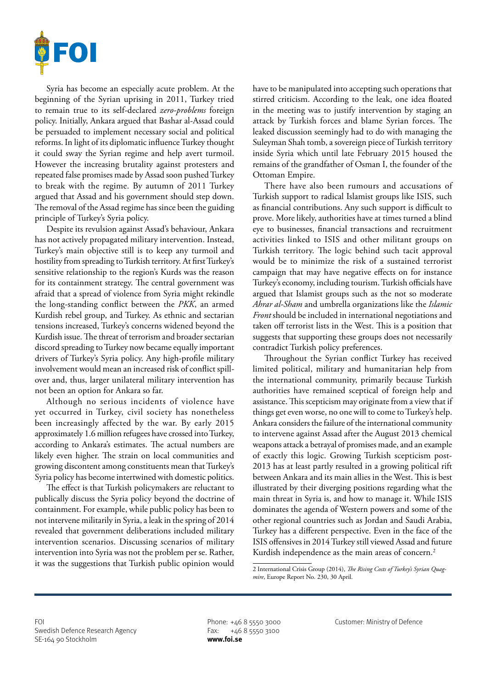

Syria has become an especially acute problem. At the beginning of the Syrian uprising in 2011, Turkey tried to remain true to its self-declared *zero-problems* foreign policy. Initially, Ankara argued that Bashar al-Assad could be persuaded to implement necessary social and political reforms. In light of its diplomatic influence Turkey thought it could sway the Syrian regime and help avert turmoil. However the increasing brutality against protesters and repeated false promises made by Assad soon pushed Turkey to break with the regime. By autumn of 2011 Turkey argued that Assad and his government should step down. The removal of the Assad regime has since been the guiding principle of Turkey's Syria policy.

Despite its revulsion against Assad's behaviour, Ankara has not actively propagated military intervention. Instead, Turkey's main objective still is to keep any turmoil and hostility from spreading to Turkish territory. At first Turkey's sensitive relationship to the region's Kurds was the reason for its containment strategy. The central government was afraid that a spread of violence from Syria might rekindle the long-standing conflict between the *PKK*, an armed Kurdish rebel group, and Turkey. As ethnic and sectarian tensions increased, Turkey's concerns widened beyond the Kurdish issue. The threat of terrorism and broader sectarian discord spreading to Turkey now became equally important drivers of Turkey's Syria policy. Any high-profile military involvement would mean an increased risk of conflict spillover and, thus, larger unilateral military intervention has not been an option for Ankara so far.

Although no serious incidents of violence have yet occurred in Turkey, civil society has nonetheless been increasingly affected by the war. By early 2015 approximately 1.6 million refugees have crossed into Turkey, according to Ankara's estimates. The actual numbers are likely even higher. The strain on local communities and growing discontent among constituents mean that Turkey's Syria policy has become intertwined with domestic politics.

The effect is that Turkish policymakers are reluctant to publically discuss the Syria policy beyond the doctrine of containment. For example, while public policy has been to not intervene militarily in Syria, a leak in the spring of 2014 revealed that government deliberations included military intervention scenarios. Discussing scenarios of military intervention into Syria was not the problem per se. Rather, it was the suggestions that Turkish public opinion would

have to be manipulated into accepting such operations that stirred criticism. According to the leak, one idea floated in the meeting was to justify intervention by staging an attack by Turkish forces and blame Syrian forces. The leaked discussion seemingly had to do with managing the Suleyman Shah tomb, a sovereign piece of Turkish territory inside Syria which until late February 2015 housed the remains of the grandfather of Osman I, the founder of the Ottoman Empire.

There have also been rumours and accusations of Turkish support to radical Islamist groups like ISIS, such as financial contributions. Any such support is difficult to prove. More likely, authorities have at times turned a blind eye to businesses, financial transactions and recruitment activities linked to ISIS and other militant groups on Turkish territory. The logic behind such tacit approval would be to minimize the risk of a sustained terrorist campaign that may have negative effects on for instance Turkey's economy, including tourism. Turkish officials have argued that Islamist groups such as the not so moderate *Ahrar al-Sham* and umbrella organizations like the *Islamic Front* should be included in international negotiations and taken off terrorist lists in the West. This is a position that suggests that supporting these groups does not necessarily contradict Turkish policy preferences.

Throughout the Syrian conflict Turkey has received limited political, military and humanitarian help from the international community, primarily because Turkish authorities have remained sceptical of foreign help and assistance. This scepticism may originate from a view that if things get even worse, no one will to come to Turkey's help. Ankara considers the failure of the international community to intervene against Assad after the August 2013 chemical weapons attack a betrayal of promises made, and an example of exactly this logic. Growing Turkish scepticism post-2013 has at least partly resulted in a growing political rift between Ankara and its main allies in the West. This is best illustrated by their diverging positions regarding what the main threat in Syria is, and how to manage it. While ISIS dominates the agenda of Western powers and some of the other regional countries such as Jordan and Saudi Arabia, Turkey has a different perspective. Even in the face of the ISIS offensives in 2014 Turkey still viewed Assad and future Kurdish independence as the main areas of concern.<sup>2</sup>

<sup>2</sup> International Crisis Group (2014), *The Rising Costs of Turkey's Syrian Quagmire*, Europe Report No. 230, 30 April.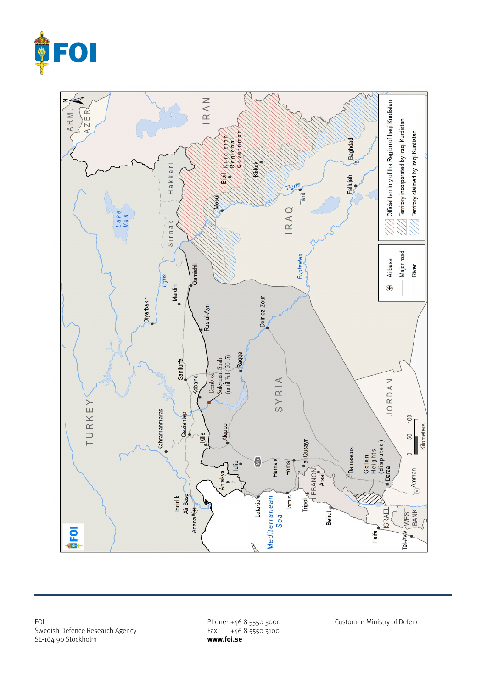